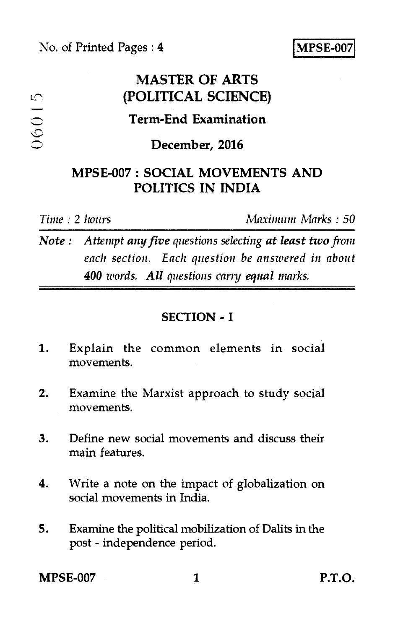No. of Printed Pages : **4 MPSE-00** 

# **MASTER OF ARTS (POLITICAL SCIENCE)**

## **Term-End Examination**

### **December, 2016**

### **MPSE-007 : SOCIAL MOVEMENTS AND POLITICS IN INDIA**

 $06015$ 

*Time : 2 hours Maximum Marks : 50* 

*Note : Attempt any five questions selecting at least two from each section. Each question he answered in about 400 words. All questions carry equal marks.* 

### **SECTION - I**

- 1. Explain the common elements in social movements.
- 2. Examine the Marxist approach to study social movements.
- 3. Define new social movements and discuss their main features.
- 4. Write a note on the impact of globalization on social movements in India.
- 5. Examine the political mobilization of Dalits in the post - independence period.

**MPSE-007 1 P.T.O.**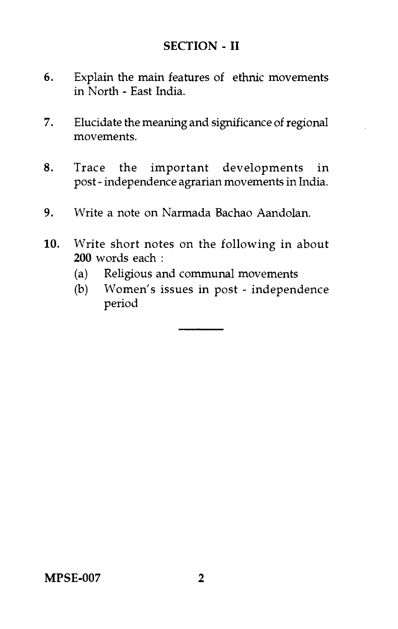#### **SECTION - II**

- 6. Explain the main features of ethnic movements in North - East India.
- 7. Elucidate the meaning and significance of regional movements.
- 8. Trace the important developments in post - independence agrarian movements in India.
- 9. Write a note on Narmada Bachao Aandolan.
- 10. Write short notes on the following in about **200** words each :
	- (a) Religious and communal movements
	- (b) Women's issues in post independence period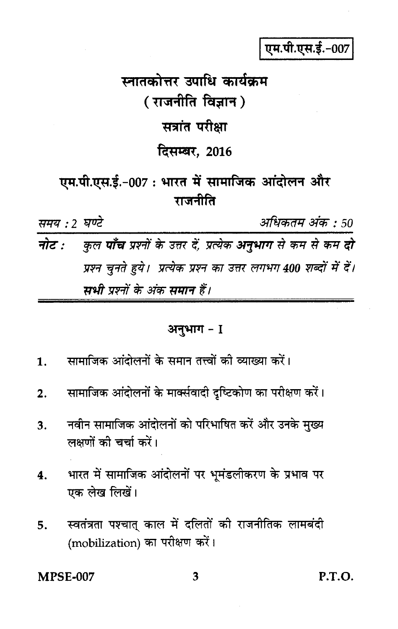एम.पी.एस.ई.-007

स्नातकोत्तर उपाधि कार्यक्रम ( राजनीति विज्ञान ) सत्रांत परीक्षा दिसम्बर, 2016 एम.पी.एस.ई.-007 : भारत में सामाजिक आंदोलन और राजनीति समय : 2 घण्टे अधिकतम अंक : 50

कुल **पाँच** प्रश्नों के उत्तर दें, प्रत्येक **अनुभाग** से कम से कम **दो** नोट : प्रश्न चुनते हुये। प्रत्येक प्रश्न का उत्तर लगभग 400 शब्दों में दें। सभी प्रश्नों के अंक समान हैं।

### अनुभाग - I

- सामाजिक आंदोलनों के समान तत्त्वों की व्याख्या करें। 1.
- सामाजिक आंदोलनों के मार्क्सवादी दृष्टिकोण का परीक्षण करें।  $2.$
- नवीन सामाजिक आंदोलनों को परिभाषित करें और उनके मुख्य 3. लक्षणों की चर्चा करें।
- भारत में सामाजिक आंदोलनों पर भूमंडलीकरण के प्रभाव पर 4. एक लेख लिखें।
- स्वतंत्रता पश्चात् काल में दलितों की राजनीतिक लामबंदी 5. (mobilization) का परीक्षण करें।

**MPSE-007** 

P.T.O.